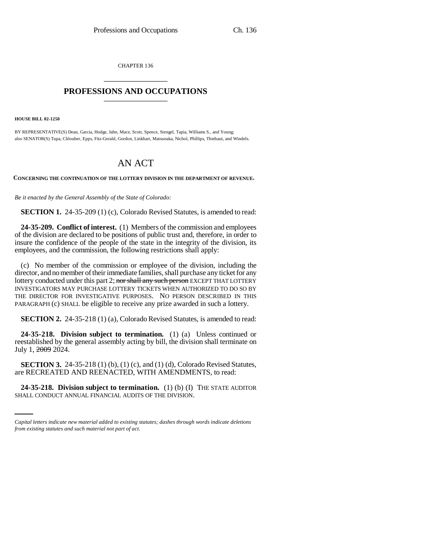CHAPTER 136 \_\_\_\_\_\_\_\_\_\_\_\_\_\_\_

## **PROFESSIONS AND OCCUPATIONS** \_\_\_\_\_\_\_\_\_\_\_\_\_\_\_

**HOUSE BILL 02-1250**

BY REPRESENTATIVE(S) Dean, Garcia, Hodge, Jahn, Mace, Scott, Spence, Stengel, Tapia, Williams S., and Young; also SENATOR(S) Tupa, Chlouber, Epps, Fitz-Gerald, Gordon, Linkhart, Matsunaka, Nichol, Phillips, Thiebaut, and Windels.

## AN ACT

**CONCERNING THE CONTINUATION OF THE LOTTERY DIVISION IN THE DEPARTMENT OF REVENUE.**

*Be it enacted by the General Assembly of the State of Colorado:*

**SECTION 1.** 24-35-209 (1) (c), Colorado Revised Statutes, is amended to read:

**24-35-209. Conflict of interest.** (1) Members of the commission and employees of the division are declared to be positions of public trust and, therefore, in order to insure the confidence of the people of the state in the integrity of the division, its employees, and the commission, the following restrictions shall apply:

(c) No member of the commission or employee of the division, including the director, and no member of their immediate families, shall purchase any ticket for any lottery conducted under this part 2; nor shall any such person EXCEPT THAT LOTTERY INVESTIGATORS MAY PURCHASE LOTTERY TICKETS WHEN AUTHORIZED TO DO SO BY THE DIRECTOR FOR INVESTIGATIVE PURPOSES. NO PERSON DESCRIBED IN THIS PARAGRAPH (c) SHALL be eligible to receive any prize awarded in such a lottery.

**SECTION 2.** 24-35-218 (1) (a), Colorado Revised Statutes, is amended to read:

**24-35-218. Division subject to termination.** (1) (a) Unless continued or reestablished by the general assembly acting by bill, the division shall terminate on July 1, 2009 2024.

are RECREATED AND REENACTED, WITH AMENDMENTS, to read: **SECTION 3.** 24-35-218 (1) (b), (1) (c), and (1) (d), Colorado Revised Statutes,

**24-35-218. Division subject to termination.** (1) (b) (I) THE STATE AUDITOR SHALL CONDUCT ANNUAL FINANCIAL AUDITS OF THE DIVISION.

*Capital letters indicate new material added to existing statutes; dashes through words indicate deletions from existing statutes and such material not part of act.*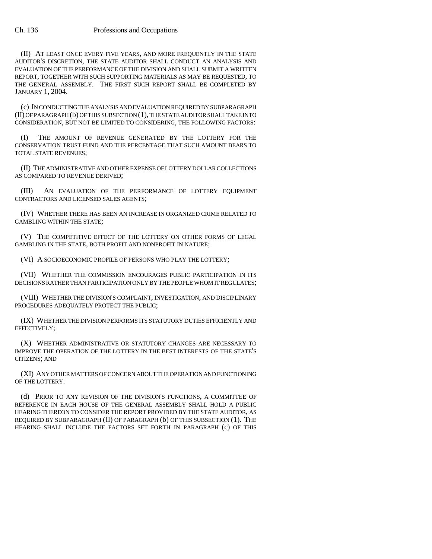(II) AT LEAST ONCE EVERY FIVE YEARS, AND MORE FREQUENTLY IN THE STATE AUDITOR'S DISCRETION, THE STATE AUDITOR SHALL CONDUCT AN ANALYSIS AND EVALUATION OF THE PERFORMANCE OF THE DIVISION AND SHALL SUBMIT A WRITTEN REPORT, TOGETHER WITH SUCH SUPPORTING MATERIALS AS MAY BE REQUESTED, TO THE GENERAL ASSEMBLY. THE FIRST SUCH REPORT SHALL BE COMPLETED BY JANUARY 1, 2004.

(c) IN CONDUCTING THE ANALYSIS AND EVALUATION REQUIRED BY SUBPARAGRAPH (II) OF PARAGRAPH (b) OF THIS SUBSECTION (1), THE STATE AUDITOR SHALL TAKE INTO CONSIDERATION, BUT NOT BE LIMITED TO CONSIDERING, THE FOLLOWING FACTORS:

(I) THE AMOUNT OF REVENUE GENERATED BY THE LOTTERY FOR THE CONSERVATION TRUST FUND AND THE PERCENTAGE THAT SUCH AMOUNT BEARS TO TOTAL STATE REVENUES;

(II) THE ADMINISTRATIVE AND OTHER EXPENSE OF LOTTERY DOLLAR COLLECTIONS AS COMPARED TO REVENUE DERIVED;

(III) AN EVALUATION OF THE PERFORMANCE OF LOTTERY EQUIPMENT CONTRACTORS AND LICENSED SALES AGENTS;

(IV) WHETHER THERE HAS BEEN AN INCREASE IN ORGANIZED CRIME RELATED TO GAMBLING WITHIN THE STATE;

(V) THE COMPETITIVE EFFECT OF THE LOTTERY ON OTHER FORMS OF LEGAL GAMBLING IN THE STATE, BOTH PROFIT AND NONPROFIT IN NATURE;

(VI) A SOCIOECONOMIC PROFILE OF PERSONS WHO PLAY THE LOTTERY;

(VII) WHETHER THE COMMISSION ENCOURAGES PUBLIC PARTICIPATION IN ITS DECISIONS RATHER THAN PARTICIPATION ONLY BY THE PEOPLE WHOM IT REGULATES;

(VIII) WHETHER THE DIVISION'S COMPLAINT, INVESTIGATION, AND DISCIPLINARY PROCEDURES ADEQUATELY PROTECT THE PUBLIC;

(IX) WHETHER THE DIVISION PERFORMS ITS STATUTORY DUTIES EFFICIENTLY AND EFFECTIVELY;

(X) WHETHER ADMINISTRATIVE OR STATUTORY CHANGES ARE NECESSARY TO IMPROVE THE OPERATION OF THE LOTTERY IN THE BEST INTERESTS OF THE STATE'S CITIZENS; AND

(XI) ANY OTHER MATTERS OF CONCERN ABOUT THE OPERATION AND FUNCTIONING OF THE LOTTERY.

(d) PRIOR TO ANY REVISION OF THE DIVISION'S FUNCTIONS, A COMMITTEE OF REFERENCE IN EACH HOUSE OF THE GENERAL ASSEMBLY SHALL HOLD A PUBLIC HEARING THEREON TO CONSIDER THE REPORT PROVIDED BY THE STATE AUDITOR, AS REQUIRED BY SUBPARAGRAPH (II) OF PARAGRAPH (b) OF THIS SUBSECTION (1). THE HEARING SHALL INCLUDE THE FACTORS SET FORTH IN PARAGRAPH (c) OF THIS